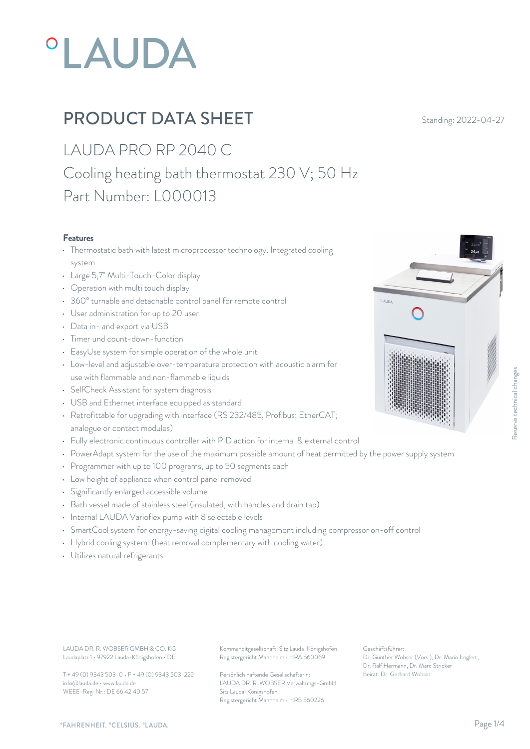# *OLAUDA*

# **PRODUCT DATA SHEET** Standing: 2022-04-27

### LAUDA PRO RP 2040 C Cooling heating bath thermostat 230 V; 50 Hz Part Number: L000013

#### Features

- Thermostatic bath with latest microprocessor technology. Integrated cooling system **but the system** and the system of the system of the system of the system of the system of the system of the system of the system of the system of the system of the system of the system of the system of the system o
- Large 5,7" Multi-Touch-Color display
- Operation with multi touch display
- 360° turnable and detachable control panel for remote control
- User administration for up to 20 user
- Data in- and export via USB
- Timer und count-down-function
- EasyUse system for simple operation of the whole unit
- Low-level and adjustable over-temperature protection with acoustic alarm for use with flammable and non-flammable liquids
- SelfCheck Assistant for system diagnosis
- USB and Ethernet interface equipped as standard
- Retrofittable for upgrading with interface (RS 232/485, Profibus; EtherCAT; analogue or contact modules)
- Fully electronic continuous controller with PID action for internal & external control
- PowerAdapt system for the use of the maximum possible amount of heat permitted by the power supply system
- Programmer with up to 100 programs, up to 50 segments each
- Low height of appliance when control panel removed
- Significantly enlarged accessible volume
- Bath vessel made of stainless steel (insulated, with handles and drain tap)
- Internal LAUDA Varioflex pump with 8 selectable levels
- SmartCool system for energy-saving digital cooling management including compressor on-off control
- Hybrid cooling system: (heat removal complementary with cooling water)
- Utilizes natural refrigerants

Laudaplatz 1 • 97922 Lauda-Königshofen • DE

T + 49 (0) 9343 503-0 • F + 49 (0) 9343 503-222 info@lauda.de • www.lauda.de WEEE-Reg-Nr.: DE 66 42 40 57

LAUDA DR. R. WOBSER GMBH & CO. KG Kommanditgesellschaft: Sitz Lauda-Königshofen Geschäftsführer: Registergericht Mannheim • HRA 560069

> Persönlich haftende Gesellschafterin: Beirat: Dr. Gerhard Wobse LAUDA DR. R. WOBSER Verwaltungs-GmbH Sitz Lauda-Königshofen Registergericht Mannheim • HRB 560226

Geschäftsführer: Dr. Gunther Wobser (Vors.), Dr. Mario Englert, Dr. Ralf Hermann, Dr. Marc Stricker Beschäftsführer:<br>Beirat: Dr. Genter Wobser (Vors.), Dr. Mario Englert,<br>Dr. Gunther Wobser (Vors.), Dr. Mario Englert,<br>Dr. Gerhard Wobser<br>Beirat: Dr. Gerhard Wobser

**LALINA** 

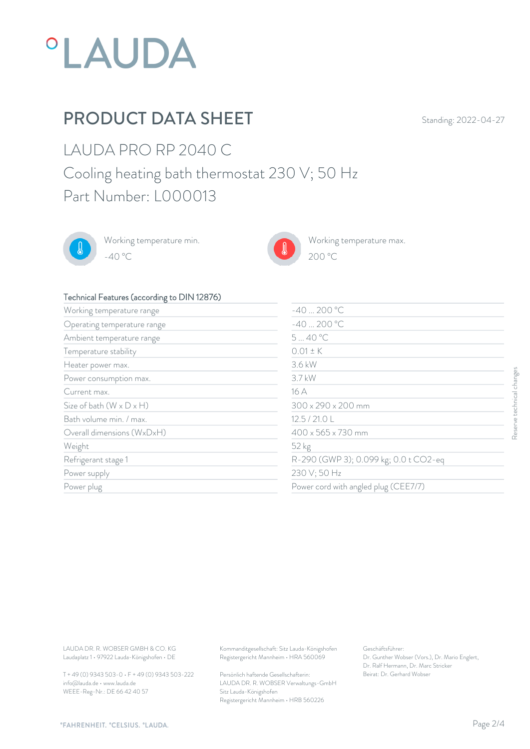

### PRODUCT DATA SHEET Standing: 2022-04-27

 $200\text{ °C}$ 

LAUDA PRO RP 2040 C Cooling heating bath thermostat 230 V; 50 Hz Part Number: L000013



Working temperature min. -40 °C 200 °C



Working temperature max.

#### Technical Features (according to DIN 12876)

| $\frac{1}{2}$ commodial catalog (according to $\frac{1}{2}$ in $\frac{1}{2}$ in $\frac{1}{2}$ |                                                                                        |                                                                                                           |  |
|-----------------------------------------------------------------------------------------------|----------------------------------------------------------------------------------------|-----------------------------------------------------------------------------------------------------------|--|
| Working temperature range                                                                     | $-40200 °C$                                                                            |                                                                                                           |  |
| Operating temperature range                                                                   | $-40200 °C$                                                                            |                                                                                                           |  |
| Ambient temperature range                                                                     | 540 °C                                                                                 |                                                                                                           |  |
| Temperature stability                                                                         | $0.01 \pm K$                                                                           |                                                                                                           |  |
| Heater power max.                                                                             | 3.6 kW                                                                                 |                                                                                                           |  |
| Power consumption max.                                                                        | 3.7 kW                                                                                 |                                                                                                           |  |
| Current max.                                                                                  | 16 A                                                                                   |                                                                                                           |  |
| Size of bath $(W \times D \times H)$                                                          |                                                                                        | 300 x 290 x 200 mm<br>12.5 / 21.0 L                                                                       |  |
| Bath volume min. / max.                                                                       |                                                                                        |                                                                                                           |  |
| Overall dimensions (WxDxH)                                                                    |                                                                                        | 400 x 565 x 730 mm                                                                                        |  |
| Weight                                                                                        |                                                                                        | 52 kg<br>R-290 (GWP 3); 0.099 kg; 0.0 t CO2-eq<br>230 V; 50 Hz<br>Power cord with angled plug (CEE7/7)    |  |
| Refrigerant stage 1                                                                           |                                                                                        |                                                                                                           |  |
| Power supply                                                                                  |                                                                                        |                                                                                                           |  |
| Power plug                                                                                    |                                                                                        |                                                                                                           |  |
|                                                                                               |                                                                                        |                                                                                                           |  |
| LAUDA DR. R. WOBSER GMBH & CO. KG<br>Laudaplatz 1 · 97922 Lauda-Königshofen · DE              | Kommanditgesellschaft: Sitz Lauda-Königshofen<br>Registergericht Mannheim · HRA 560069 | Geschäftsführer:<br>Dr. Gunther Wobser (Vors.), Dr. Mario Englert,<br>Dr. Ralf Hermann, Dr. Marc Stricker |  |

T + 49 (0) 9343 503-0 • F + 49 (0) 9343 503-222 info@lauda.de • www.lauda.de WEEE-Reg-Nr.: DE 66 42 40 57

> Persönlich haftende Gesellschafterin: Beirat: Dr. Gerhard Wobse LAUDA DR. R. WOBSER Verwaltungs-GmbH Sitz Lauda-Königshofen Registergericht Mannheim • HRB 560226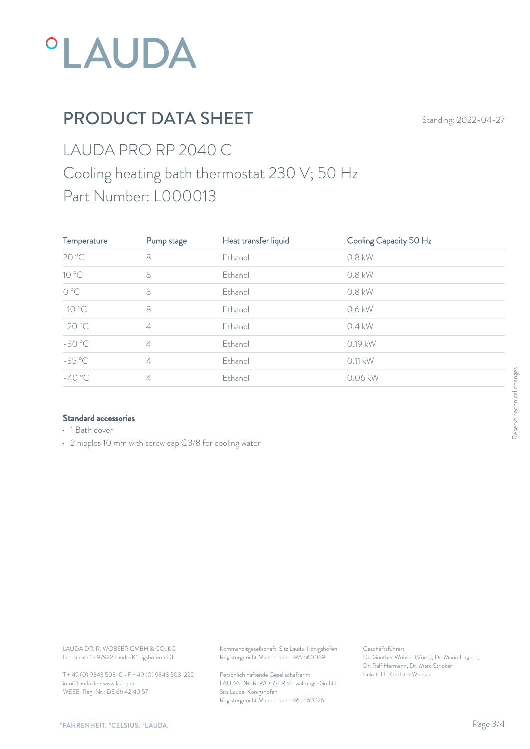

# PRODUCT DATA SHEET Standing: 2022-04-27

### LAUDA PRO RP 2040 C Cooling heating bath thermostat 230 V; 50 Hz Part Number: L000013

| Temperature                      | Pump stage     | Heat transfer liquid | Cooling Capacity 50 Hz |     |
|----------------------------------|----------------|----------------------|------------------------|-----|
| 20 °C                            | 8              | Ethanol              | 0.8 kW                 |     |
| 10 °C                            | $\,8\,$        | Ethanol              | 0.8 kW                 |     |
| $\mathrm{O}\ ^{\circ}\mathrm{C}$ | $\,8\,$        | Ethanol              | 0.8 kW                 |     |
| $-10\text{ °C}$                  | 8              | Ethanol              | 0.6 kW                 |     |
| $-20 °C$                         | $\overline{4}$ | Ethanol              | $0.4$ kW               |     |
| $-30 °C$                         | $\overline{4}$ | Ethanol              | 0.19 kW                |     |
| $-35 °C$                         | $\overline{4}$ | Ethanol              | 0.11 kW                |     |
| $-40 °C$                         | $\overline{4}$ | Ethanol              | 0.06 kW                | ges |
|                                  |                |                      |                        | ÷   |

#### Standard accessories

- 1 Bath cover
- 2 nipples 10 mm with screw cap G3/8 for cooling water

Laudaplatz 1 • 97922 Lauda-Königshofen • DE

T + 49 (0) 9343 503-0 • F + 49 (0) 9343 503-222 info@lauda.de • www.lauda.de WEEE-Reg-Nr.: DE 66 42 40 57

LAUDA DR. R. WOBSER GMBH & CO. KG Kommanditgesellschaft: Sitz Lauda-Königshofen Geschäftsführer: Registergericht Mannheim • HRA 560069

> Persönlich haftende Gesellschafterin: Beirat: Dr. Gerhard Wobse LAUDA DR. R. WOBSER Verwaltungs-GmbH Sitz Lauda-Königshofen Registergericht Mannheim • HRB 560226

Geschäftsführer: Dr. Gunther Wobser (Vors.), Dr. Mario Englert, Dr. Ralf Hermann, Dr. Marc Stricker Beschäftsführer:<br>Beischäftsführer:<br>Dr. Gunther Wobser (Vors.), Dr. Mario Englert,<br>Dr. Ralf Hermann, Dr. Marc Stricker<br>Beirat: Dr. Gerhard Wobser